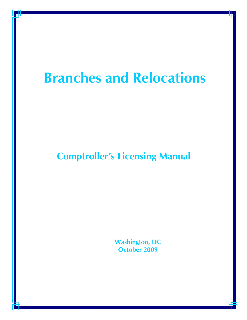# **Branches and Relocations**

# **Comptroller's Licensing Manual**

 **Washington, DC October 2009**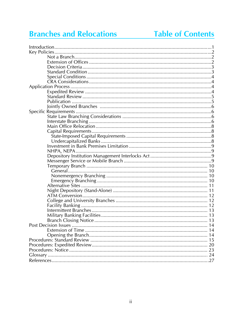# **Branches and Relocations**

# **Table of Contents**

| <b>Post Decision Issues</b> | -14 |
|-----------------------------|-----|
|                             |     |
|                             |     |
|                             |     |
|                             |     |
|                             |     |
|                             |     |
|                             |     |
|                             |     |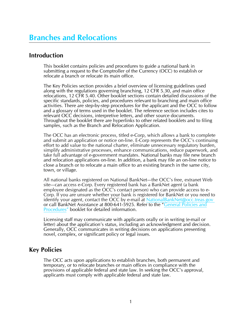# **Branches and Relocations**

#### **Introduction**

This booklet contains policies and procedures to guide a national bank in submitting a request to the Comptroller of the Currency (OCC) to establish or relocate a branch or relocate its main office.

The Key Policies section provides a brief overview of licensing guidelines used along with the regulations governing branching, 12 CFR 5.30, and main office relocations, 12 CFR 5.40. Other booklet sections contain detailed discussions of the specific standards, policies, and procedures relevant to branching and main office activities. There are step-by-step procedures for the applicant and the OCC to follow and a glossary of terms used in the booklet. The reference section includes cites to relevant OCC decisions, interpretive letters, and other source documents. Throughout the booklet there are hyperlinks to other related booklets and to filing samples, such as the Branch and Relocation Application.

The OCC has an electronic process, titled e-Corp, which allows a bank to complete and submit an application or notice on-line. E-Corp represents the OCC's continuing effort to add value to the national charter, eliminate unnecessary regulatory burden, simplify administrative processes, enhance communications, reduce paperwork, and take full advantage of e-government mandates. National banks may file new branch and relocation applications on-line. In addition, a bank may file an on-line notice to close a branch or to relocate a main office to an existing branch in the same city, town, or village.

All national banks registered on National BankNet—the OCC's free, extranet Web site—can access e-Corp. Every registered bank has a BankNet agent (a bank employee designated as the OCC's contact person) who can provide access to e-Corp. If you are unsure whether your bank is registered for BankNet or you need to identify your agent, contact the OCC by e-mail at [NationalBankNet@occ.treas.gov](mailto:NationalBankNet@occ.treas.gov) or call BankNet Assistance at 800-641-5925. Refer to the "General Policies and [Procedures"](http://www.occ.gov/publications/publications-by-type/licensing-manuals/gpp.pdf) booklet for detailed information.

Licensing staff may communicate with applicants orally or in writing (e-mail or letter) about the application's status, including an acknowledgment and decision. Generally, OCC communicates in writing decisions on applications presenting novel, complex, or significant policy or legal issues.

### **Key Policies**

The OCC acts upon applications to establish branches, both permanent and temporary, or to relocate branches or main offices in compliance with the provisions of applicable federal and state law. In seeking the OCC's approval, applicants must comply with applicable federal and state law.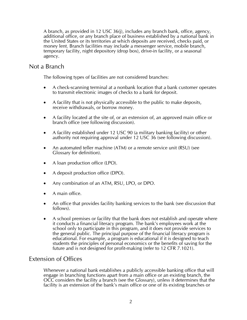A branch, as provided in 12 USC 36(j), includes any branch bank, office, agency, additional office, or any branch place of business established by a national bank in the United States or its territories at which deposits are received, checks paid, or money lent. Branch facilities may include a messenger service, mobile branch, temporary facility, night depository (drop box), drive-in facility, or a seasonal agency.

#### Not a Branch

The following types of facilities are not considered branches:

- A check-scanning terminal at a nonbank location that a bank customer operates to transmit electronic images of checks to a bank for deposit.
- A facility that is not physically accessible to the public to make deposits, receive withdrawals, or borrow money.
- A facility located at the site of, or an extension of, an approved main office or branch office (see following discussion).
- A facility established under 12 USC 90 (a military banking facility) or other authority not requiring approval under 12 USC 36 (see following discussion).
- An automated teller machine (ATM) or a remote service unit (RSU) (see Glossary for definition).
- A loan production office (LPO).
- A deposit production office (DPO).
- Any combination of an ATM, RSU, LPO, or DPO.
- A main office.
- An office that provides facility banking services to the bank (see discussion that follows).
- A school premises or facility that the bank does not establish and operate where it conducts a financial literacy program. The bank's employees work at the school only to participate in this program, and it does not provide services to the general public. The principal purpose of the financial literacy program is educational. For example, a program is educational if it is designed to teach students the principles of personal economics or the benefits of saving for the future and is not designed for profit-making (refer to 12 CFR 7.1021).

#### Extension of Offices

Whenever a national bank establishes a publicly accessible banking office that will engage in branching functions apart from a main office or an existing branch, the OCC considers the facility a branch (see the Glossary), unless it determines that the facility is an extension of the bank's main office or one of its existing branches or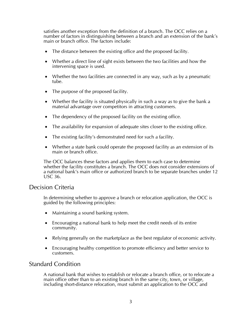satisfies another exception from the definition of a branch. The OCC relies on a number of factors in distinguishing between a branch and an extension of the bank's main or branch office. The factors include:

- The distance between the existing office and the proposed facility.
- Whether a direct line of sight exists between the two facilities and how the intervening space is used.
- Whether the two facilities are connected in any way, such as by a pneumatic tube.
- The purpose of the proposed facility.
- Whether the facility is situated physically in such a way as to give the bank a material advantage over competitors in attracting customers.
- The dependency of the proposed facility on the existing office.
- The availability for expansion of adequate sites closer to the existing office.
- The existing facility's demonstrated need for such a facility.
- Whether a state bank could operate the proposed facility as an extension of its main or branch office.

The OCC balances these factors and applies them to each case to determine whether the facility constitutes a branch. The OCC does not consider extensions of a national bank's main office or authorized branch to be separate branches under 12 USC 36.

#### Decision Criteria

In determining whether to approve a branch or relocation application, the OCC is guided by the following principles:

- Maintaining a sound banking system.
- Encouraging a national bank to help meet the credit needs of its entire community.
- Relying generally on the marketplace as the best regulator of economic activity.
- Encouraging healthy competition to promote efficiency and better service to customers.

### Standard Condition

A national bank that wishes to establish or relocate a branch office, or to relocate a main office other than to an existing branch in the same city, town, or village, including short-distance relocation, must submit an application to the OCC and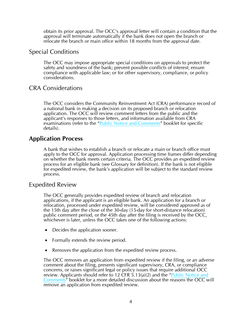obtain its prior approval. The OCC's approval letter will contain a condition that the approval will terminate automatically if the bank does not open the branch or relocate the branch or main office within 18 months from the approval date.

#### Special Conditions

The OCC may impose appropriate special conditions on approvals to protect the safety and soundness of the bank; prevent possible conflicts of interest; ensure compliance with applicable law; or for other supervisory, compliance, or policy considerations.

### CRA Considerations

The OCC considers the Community Reinvestment Act (CRA) performance record of a national bank in making a decision on its proposed branch or relocation application. The OCC will review comment letters from the public and the applicant's responses to those letters, and information available from CRA examinations (refer to the "[Public Notice and Comments](http://www.occ.gov/publications/publications-by-type/licensing-manuals/PublicNCbooklet.pdf)" booklet for specific details).

### **Application Process**

A bank that wishes to establish a branch or relocate a main or branch office must apply to the OCC for approval. Application processing time frames differ depending on whether the bank meets certain criteria. The OCC provides an expedited review process for an eligible bank (see Glossary for definition). If the bank is not eligible for expedited review, the bank's application will be subject to the standard review process.

#### Expedited Review

The OCC generally provides expedited review of branch and relocation applications, if the applicant is an eligible bank. An application for a branch or relocation, processed under expedited review, will be considered approved as of the 15th day after the close of the 30-day (15-day for short-distance relocation) public comment period, or the 45th day after the filing is received by the OCC, whichever is later, unless the OCC takes one of the following actions:

- Decides the application sooner.
- Formally extends the review period.
- Removes the application from the expedited review process.

The OCC removes an application from expedited review if the filing, or an adverse comment about the filing, presents significant supervisory, CRA, or compliance concerns, or raises significant legal or policy issues that require additional OCC review. Applicants should refer to 12 CFR  $\frac{1}{2}$ , 13(a)(2) and the "Public Notice and [Comments"](http://www.occ.gov/publications/publications-by-type/licensing-manuals/PublicNCbooklet.pdf) booklet for a more detailed discussion about the reasons the OCC will remove an application from expedited review.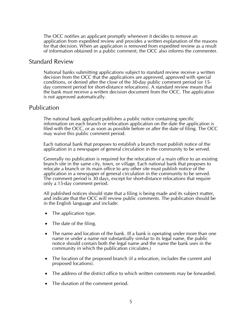The OCC notifies an applicant promptly whenever it decides to remove an application from expedited review and provides a written explanation of the reasons for that decision. When an application is removed from expedited review as a result of information obtained in a public comment, the OCC also informs the commenter.

#### Standard Review

National banks submitting applications subject to standard review receive a written decision from the OCC that the applications are approved, approved with special conditions, or denied after the close of the 30-day public comment period (or 15 day comment period for short-distance relocations). A standard review means that the bank must receive a written decision document from the OCC. The application is not approved automatically.

#### Publication

The national bank applicant publishes a public notice containing specific information on each branch or relocation application on the date the application is filed with the OCC, or as soon as possible before or after the date of filing. The OCC may waive this public comment period.

Each national bank that proposes to establish a branch must publish notice of the application in a newspaper of general circulation in the community to be served.

Generally no publication is required for the relocation of a main office to an existing branch site in the same city, town, or village. Each national bank that proposes to relocate a branch or its main office to any other site must publish notice of the application in a newspaper of general circulation in the community to be served. The comment period is 30 days, except for short-distance relocations that require only a 15-day comment period.

All published notices should state that a filing is being made and its subject matter, and indicate that the OCC will review public comments. The publication should be in the English language and include:

- The application type.
- The date of the filing.
- The name and location of the bank. (If a bank is operating under more than one name or under a name not substantially similar to its legal name, the public notice should contain both the legal name and the name the bank uses in the community in which the publication circulates.)
- The location of the proposed branch (if a relocation, includes the current and proposed locations).
- The address of the district office to which written comments may be forwarded.
- The duration of the comment period.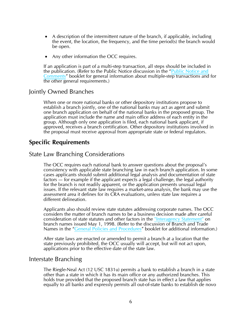- A description of the intermittent nature of the branch, if applicable, including the event, the location, the frequency, and the time period(s) the branch would be open.
- Any other information the OCC requires.

If an application is part of a multi-step transaction, all steps should be included in the publication. (Refer to the Public Notice discussion in the "[Public Notice and](http://www.occ.gov/publications/publications-by-type/licensing-manuals/PublicNCbooklet.pdf)  [Comments](http://www.occ.gov/publications/publications-by-type/licensing-manuals/PublicNCbooklet.pdf)" booklet for general information about multiple-step transactions and for the other general requirements.)

#### Jointly Owned Branches

When one or more national banks or other depository institutions propose to establish a branch jointly, one of the national banks may act as agent and submit one branch application on behalf of the national banks in the proposed group. The application must include the name and main office address of each entity in the group. Although only one application is filed, each national bank applicant, if approved, receives a branch certification. Other depository institutions involved in the proposal must receive approval from appropriate state or federal regulators.

#### **Specific Requirements**

#### State Law Branching Considerations

The OCC requires each national bank to answer questions about the proposal's consistency with applicable state branching law in each branch application. In some cases applicants should submit additional legal analysis and documentation of state factors — for example if the applicant expects a legal challenge, the legal authority for the branch is not readily apparent, or the application presents unusual legal issues. If the relevant state law requires a market-area analysis, the bank may use the assessment area it defines for its CRA evaluations, unless state law requires a different delineation.

Applicants also should review state statutes addressing corporate names. The OCC considers the matter of branch names to be a business decision made after careful consideration of state statutes and other factors in the ["Interagency Statement"](http://www.occ.gov/news-issuances/bulletins/1998/bulletin-1998-22a.pdf) on branch names issued May 1, 1998. (Refer to the discussion of Branch and Trade Names in the ["General Policies and Procedures"](http://www.occ.gov/publications/publications-by-type/licensing-manuals/gpp.pdf) booklet for additional information.)

After state laws are enacted or amended to permit a branch at a location that the state previously prohibited, the OCC usually will accept, but will not act upon, applications prior to the effective date of the state law.

#### Interstate Branching

The Riegle-Neal Act (12 USC 1831u) permits a bank to establish a branch in a state other than a state in which it has its main office or any authorized branches. This holds true provided that the proposed branch state has in effect a law that applies equally to all banks and expressly permits all out-of-state banks to establish de novo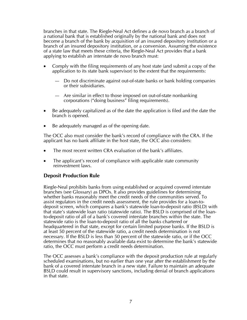branches in that state. The Riegle-Neal Act defines a de novo branch as a branch of a national bank that is established originally by the national bank and does not become a branch of the bank by acquisition of an insured depository institution or a branch of an insured depository institution, or a conversion. Assuming the existence of a state law that meets these criteria, the Riegle-Neal Act provides that a bank applying to establish an interstate de novo branch must:

- Comply with the filing requirements of any host state (and submit a copy of the application to its state bank supervisor) to the extent that the requirements:
	- Do not discriminate against out-of-state banks or bank holding companies or their subsidiaries.
	- Are similar in effect to those imposed on out-of-state nonbanking corporations ("doing business" filing requirements).
- Be adequately capitalized as of the date the application is filed and the date the branch is opened.
- Be adequately managed as of the opening date.

The OCC also must consider the bank's record of compliance with the CRA. If the applicant has no bank affiliate in the host state, the OCC also considers:

- The most recent written CRA evaluation of the bank's affiliates.
- The applicant's record of compliance with applicable state community reinvestment laws.

#### **Deposit Production Rule**

Riegle-Neal prohibits banks from using established or acquired covered interstate branches (see Glossary) as DPOs. It also provides guidelines for determining whether banks reasonably meet the credit needs of the communities served. To assist regulators in the credit needs assessment, the rule provides for a loan-todeposit screen, which compares a bank's statewide loan-to-deposit ratio (BSLD) with that state's statewide loan ratio (statewide ratio). The BSLD is comprised of the loanto-deposit ratio of all of a bank's covered interstate branches within the state. The statewide ratio is the loan-to-deposit ratio of all the banks chartered or headquartered in that state, except for certain limited purpose banks. If the BSLD is at least 50 percent of the statewide ratio, a credit needs determination is not necessary. If the BSLD is less than 50 percent of the statewide ratio, or if the OCC determines that no reasonably available data exist to determine the bank's statewide ratio, the OCC must perform a credit needs determination.

The OCC assesses a bank's compliance with the deposit production rule at regularly scheduled examinations, but no earlier than one year after the establishment by the bank of a covered interstate branch in a new state. Failure to maintain an adequate BSLD could result in supervisory sanctions, including denial of branch applications in that state.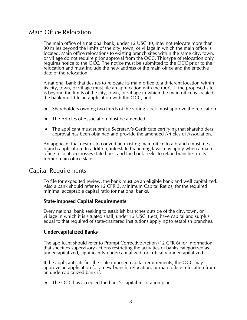#### Main Office Relocation

The main office of a national bank, under 12 USC 30, may not relocate more than 30 miles beyond the limits of the city, town, or village in which the main office is located. Main office relocations to existing branch sites within the same city, town, or village do not require prior approval from the OCC. This type of relocation only requires notice to the OCC. The notice must be submitted to the OCC prior to the relocation and must include the new address of the main office and the effective date of the relocation.

A national bank that desires to relocate its main office to a different location within its city, town, or village must file an application with the OCC. If the proposed site is beyond the limits of the city, town, or village in which the main office is located the bank must file an application with the OCC, and:

- Shareholders owning two-thirds of the voting stock must approve the relocation.
- The Articles of Association must be amended.
- The applicant must submit a Secretary's Certificate certifying that shareholders' approval has been obtained and provide the amended Articles of Association.

An applicant that desires to convert an existing main office to a branch must file a branch application. In addition, interstate branching laws may apply when a main office relocation crosses state lines, and the bank seeks to retain branches in its former main office state.

#### Capital Requirements

To file for expedited review, the bank must be an eligible bank and well capitalized. Also a bank should refer to 12 CFR 3, Minimum Capital Ratios, for the required minimal acceptable capital ratio for national banks.

#### **State-Imposed Capital Requirements**

Every national bank seeking to establish branches outside of the city, town, or village in which it is situated shall, under 12 USC 36(c), have capital and surplus equal to that required of state-chartered institutions applying to establish branches.

#### **Undercapitalized Banks**

The applicant should refer to Prompt Corrective Action (12 CFR 6) for information that specifies supervisory actions restricting the activities of banks categorized as undercapitalized, significantly undercapitalized, or critically undercapitalized.

If the applicant satisfies the state-imposed capital requirements, the OCC may approve an application for a new branch, relocation, or main office relocation from an undercapitalized bank if:

• The OCC has accepted the bank's capital restoration plan.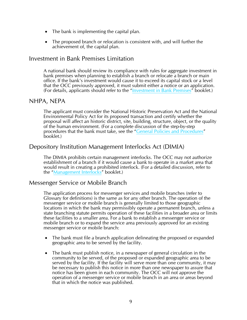- The bank is implementing the capital plan.
- The proposed branch or relocation is consistent with, and will further the achievement of, the capital plan.

#### Investment in Bank Premises Limitation

A national bank should review its compliance with rules for aggregate investment in bank premises when planning to establish a branch or relocate a branch or main office. If the bank's investment would cause it to exceed its capital stock or a level that the OCC previously approved, it must submit either a notice or an application. (For details, applicants should refer to the "[Investment in Bank Premises](http://www.occ.gov/publications/publications-by-type/licensing-manuals/bkprem.pdf)" booklet.)

#### NHPA, NEPA

The applicant must consider the National Historic Preservation Act and the National Environmental Policy Act for its proposed transaction and certify whether the proposal will affect an historic district, site, building, structure, object, or the quality of the human environment. (For a complete discussion of the step-by-step procedures that the bank must take, see the "[General Policies and Procedures](http://www.occ.gov/publications/publications-by-type/licensing-manuals/gpp.pdf)" booklet.)

#### Depository Institution Management Interlocks Act (DIMIA)

The DIMIA prohibits certain management interlocks. The OCC may not authorize establishment of a branch if it would cause a bank to operate in a market area that would result in creating a prohibited interlock. (For a detailed discussion, refer to the ["Management Interlocks"](http://occ.gov/publications/publications-by-type/licensing-manuals/mgmtint.pdf) booklet.)

#### Messenger Service or Mobile Branch

The application process for messenger services and mobile branches (refer to Glossary for definitions) is the same as for any other branch. The operation of the messenger service or mobile branch is generally limited to those geographic locations in which the bank may permissibly operate a permanent branch, unless a state branching statute permits operation of these facilities in a broader area or limits these facilities to a smaller area. For a bank to establish a messenger service or mobile branch or to expand the service area previously approved for an existing messenger service or mobile branch:

- The bank must file a branch application delineating the proposed or expanded geographic area to be served by the facility.
- The bank must publish notice, in a newspaper of general circulation in the community to be served, of the proposed or expanded geographic area to be served by the facility. If the facility will serve more than one community, it may be necessary to publish this notice in more than one newspaper to assure that notice has been given in each community. The OCC will not approve the operation of a messenger service or mobile branch in an area or areas beyond that in which the notice was published.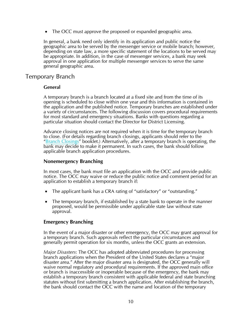• The OCC must approve the proposed or expanded geographic area.

In general, a bank need only identify in its application and public notice the geographic area to be served by the messenger service or mobile branch; however, depending on state law, a more specific statement of the locations to be served may be appropriate. In addition, in the case of messenger services, a bank may seek approval in one application for multiple messenger services to serve the same general geographic area.

#### Temporary Branch

#### **General**

A temporary branch is a branch located at a fixed site and from the time of its opening is scheduled to close within one year and this information is contained in the application and the published notice. Temporary branches are established under a variety of circumstances. The following discussion covers procedural requirements for most standard and emergency situations. Banks with questions regarding a particular situation should contact the Director for District Licensing.

Advance closing notices are not required when it is time for the temporary branch to close. (For details regarding branch closings, applicants should refer to the ["Branch Closings"](http://www.occ.gov/publications/publications-by-type/licensing-manuals/brclose.pdf) booklet.) Alternatively, after a temporary branch is operating, the bank may decide to make it permanent. In such cases, the bank should follow applicable branch application procedures.

#### **Nonemergency Branching**

In most cases, the bank must file an application with the OCC and provide public notice. The OCC may waive or reduce the public notice and comment period for an application to establish a temporary branch if:

- The applicant bank has a CRA rating of "satisfactory" or "outstanding."
- The temporary branch, if established by a state bank to operate in the manner proposed, would be permissible under applicable state law without state approval.

#### **Emergency Branching**

In the event of a major disaster or other emergency, the OCC may grant approval for a temporary branch. Such approvals reflect the particular circumstances and generally permit operation for six months, unless the OCC grants an extension.

*Major Disasters*: The OCC has adopted abbreviated procedures for processing branch applications when the President of the United States declares a "major disaster area." After the major disaster area is designated, the OCC generally will waive normal regulatory and procedural requirements. If the approved main office or branch is inaccessible or inoperable because of the emergency, the bank may establish a temporary branch consistent with applicable federal and state branching statutes without first submitting a branch application. After establishing the branch, the bank should contact the OCC with the name and location of the temporary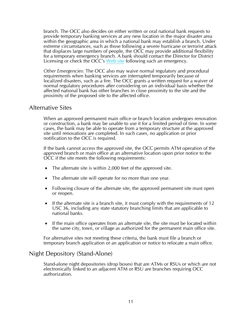branch. The OCC also decides on either written or oral national bank requests to provide temporary banking services at any new location in the major disaster area within the geographic area in which a national bank may establish a branch. Under extreme circumstances, such as those following a severe hurricane or terrorist attack that displaces large numbers of people, the OCC may provide additional flexibility for a temporary emergency branch. A bank should contact the Director for District Licensing or check the OCC's [Web site](http://www.occ.gov/) following such an emergency.

*Other Emergencies*: The OCC also may waive normal regulatory and procedural requirements when banking services are interrupted temporarily because of localized disasters, such as a fire. The OCC grants a written request for a waiver of normal regulatory procedures after considering on an individual basis whether the affected national bank has other branches in close proximity to the site and the proximity of the proposed site to the affected office.

#### Alternative Sites

When an approved permanent main office or branch location undergoes renovation or construction, a bank may be unable to use it for a limited period of time. In some cases, the bank may be able to operate from a temporary structure at the approved site until renovations are completed. In such cases, no application or prior notification to the OCC is required.

If the bank cannot access the approved site, the OCC permits ATM operation of the approved branch or main office at an alternative location upon prior notice to the OCC if the site meets the following requirements:

- The alternate site is within 2,000 feet of the approved site.
- The alternate site will operate for no more than one year.
- Following closure of the alternate site, the approved permanent site must open or reopen.
- If the alternate site is a branch site, it must comply with the requirements of 12 USC 36, including any state statutory branching limits that are applicable to national banks.
- If the main office operates from an alternate site, the site must be located within the same city, town, or village as authorized for the permanent main office site.

For alternative sites not meeting these criteria, the bank must file a branch or temporary branch application or an application or notice to relocate a main office.

#### Night Depository (Stand-Alone)

Stand-alone night depositories (drop boxes) that are ATMs or RSUs or which are not electronically linked to an adjacent ATM or RSU are branches requiring OCC authorization.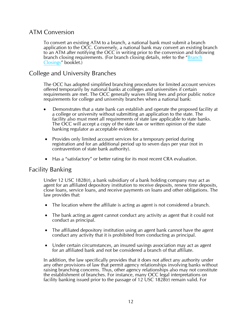### ATM Conversion

To convert an existing ATM to a branch, a national bank must submit a branch application to the OCC. Conversely, a national bank may convert an existing branch to an ATM after notifying the OCC in writing prior to the conversion and following branch closing requirements. (For branch closing details, refer to the "Branch" [Closings](http://www.occ.gov/publications/publications-by-type/licensing-manuals/brclose.pdf)" booklet.)

#### College and University Branches

The OCC has adopted simplified branching procedures for limited account services offered temporarily by national banks at colleges and universities if certain requirements are met. The OCC generally waives filing fees and prior public notice requirements for college and university branches when a national bank:

- Demonstrates that a state bank can establish and operate the proposed facility at a college or university without submitting an application to the state. The facility also must meet all requirements of state law applicable to state banks. The OCC will accept a copy of the state law or written opinion of the state banking regulator as acceptable evidence.
- Provides only limited account services for a temporary period during registration and for an additional period up to seven days per year (not in contravention of state bank authority).
- Has a "satisfactory" or better rating for its most recent CRA evaluation.

#### Facility Banking

Under 12 USC 1828(r), a bank subsidiary of a bank holding company may act as agent for an affiliated depository institution to receive deposits, renew time deposits, close loans, service loans, and receive payments on loans and other obligations. The law provides that:

- The location where the affiliate is acting as agent is not considered a branch.
- The bank acting as agent cannot conduct any activity as agent that it could not conduct as principal.
- The affiliated depository institution using an agent bank cannot have the agent conduct any activity that it is prohibited from conducting as principal.
- Under certain circumstances, an insured savings association may act as agent for an affiliated bank and not be considered a branch of that affiliate.

In addition, the law specifically provides that it does not affect any authority under any other provisions of law that permit agency relationships involving banks without raising branching concerns. Thus, other agency relationships also may not constitute the establishment of branches. For instance, many OCC legal interpretations on facility banking issued prior to the passage of 12 USC 1828(r) remain valid. For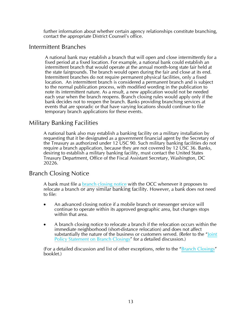further information about whether certain agency relationships constitute branching, contact the appropriate District Counsel's office.

#### Intermittent Branches

A national bank may establish a branch that will open and close intermittently for a fixed period at a fixed location. For example, a national bank could establish an intermittent branch that would operate at the annual month-long state fair held at the state fairgrounds. The branch would open during the fair and close at its end. Intermittent branches do not require permanent physical facilities, only a fixed location. An intermittent branch is considered a permanent branch and is subject to the normal publication process, with modified wording in the publication to note its intermittent nature. As a result, a new application would not be needed each year when the branch reopens. Branch closing rules would apply only if the bank decides not to reopen the branch. Banks providing branching services at events that are sporadic or that have varying locations should continue to file temporary branch applications for these events.

#### Military Banking Facilities

A national bank also may establish a banking facility on a military installation by requesting that it be designated as a government financial agent by the Secretary of the Treasury as authorized under 12 USC 90. Such military banking facilities do not require a branch application, because they are not covered by 12 USC 36. Banks, desiring to establish a military banking facility, must contact the United States Treasury Department, Office of the Fiscal Assistant Secretary, Washington, DC 20226.

#### Branch Closing Notice

A bank must file a [branch closing notice](http://www.occ.treas.gov/static/licensing/form-advance-closing-notice-v2.pdf) with the OCC whenever it proposes to relocate a branch or any similar banking facility. However, a bank does not need to file:

- An advanced closing notice if a mobile branch or messenger service will continue to operate within its approved geographic area, but changes stops within that area.
- A branch closing notice to relocate a branch if the relocation occurs within the immediate neighborhood (short-distance relocation) and does not affect substantially the nature of the business or customers served. (Refer to the "[Joint](http://frwebgate.access.gpo.gov/cgi-bin/getdoc.cgi?dbname=1999_register&docid=99-16471-filed.pdf)  [Policy Statement on Branch Closings"](http://frwebgate.access.gpo.gov/cgi-bin/getdoc.cgi?dbname=1999_register&docid=99-16471-filed.pdf) for a detailed discussion.)

(For a detailed discussion and list of other exceptions, refer to the "[Branch Closings](http://www.occ.gov/publications/publications-by-type/licensing-manuals/brclose.pdf)" booklet.)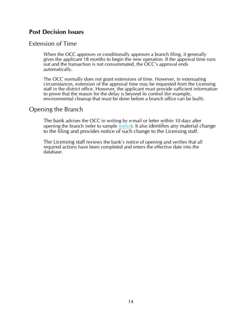#### **Post Decision Issues**

#### Extension of Time

When the OCC approves or conditionally approves a branch filing, it generally gives the applicant 18 months to begin the new operation. If the approval time runs out and the transaction is not consummated, the OCC's approval ends automatically.

The OCC normally does not grant extensions of time. However, in extenuating circumstances, extension of the approval time may be requested from the Licensing staff in the district office. However, the applicant must provide sufficient information to prove that the reason for the delay is beyond its control (for example, environmental cleanup that must be done before a branch office can be built).

#### Opening the Branch

The bank advises the OCC in writing by e-mail or letter within 10 days after opening the branch (refer to sample [notice\)](http://www.occ.treas.gov/static/licensing/form-open-date-branch-office-v2.pdf). It also identifies any material change to the filing and provides notice of such change to the Licensing staff.

The Licensing staff reviews the bank's notice of opening and verifies that all required actions have been completed and enters the effective date into the database.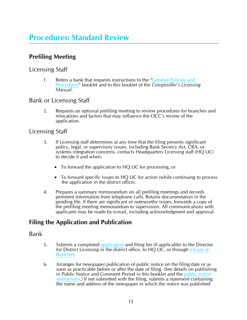# **Procedures: Standard Review**

# **Prefiling Meeting**

#### Licensing Staff

1. Refers a bank that requests instructions to the "General Policies and [Procedures"](http://www.occ.gov/publications/publications-by-type/licensing-manuals/gpp.pdf) booklet and to this booklet of the *Comptroller's Licensing Manual*.

### Bank or Licensing Staff

2. Requests an optional prefiling meeting to review procedures for branches and relocations and factors that may influence the OCC's review of the application.

#### Licensing Staff

- 3. If Licensing staff determines at any time that the filing presents significant policy, legal, or supervisory issues, including Bank Secrecy Act, CRA, or systems integration concerns, contacts Headquarters Licensing staff (HQ LIC) to decide if and when:
	- To forward the application to HQ LIC for processing, or
	- To forward specific issues to HQ LIC for action (while continuing to process the application in the district office).
- 4. Prepares a summary memorandum on all prefiling meetings and records pertinent information from telephone calls. Retains documentation in the pending file. If there are significant or noteworthy issues, forwards a copy of the prefiling meeting memorandum to supervision. All communications with applicants may be made by e-mail, including acknowledgment and approval.

# **Filing the Application and Publication**

#### Bank

- 5. Submits a completed [application](http://www.occ.gov/topics/licensing/sample-filing-forms-and-agency-responses.html) and filing fee (if applicable) to the Director for District Licensing in the district office, to HQ LIC, or through [e-Corp at](http://www.banknet.gov)  [BankNet.](http://www.banknet.gov)
- 6. Arranges for newspaper publication of public notice on the filing date or as soon as practicable before or after the date of filing. (See details on publishing in Public Notice and Comment Period in this booklet and the [public notice](http://www.occ.treas.gov/static/licensing/form-public-notice-v2.pdf)  [instructions](http://www.occ.treas.gov/static/licensing/form-public-notice-v2.pdf).) If not submitted with the filing, submits a statement containing the name and address of the newspaper in which the notice was published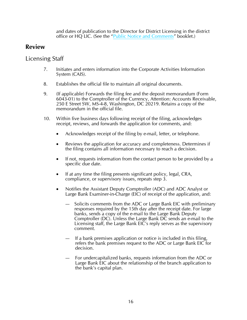and dates of publication to the Director for District Licensing in the district office or HQ LIC. (See the ["Public Notice and Comments"](http://www.occ.gov/publications/publications-by-type/licensing-manuals/PublicNCbooklet.pdf) booklet.)

### **Review**

#### Licensing Staff

- 7. Initiates and enters information into the Corporate Activities Information System (CAIS).
- 8. Establishes the official file to maintain all original documents.
- 9. (If applicable) Forwards the filing fee and the deposit memorandum (Form 6043-01) to the Comptroller of the Currency, Attention: Accounts Receivable, 250 E Street SW, MS-4-8, Washington, DC 20219. Retains a copy of the memorandum in the official file.
- 10. Within five business days following receipt of the filing, acknowledges receipt, reviews, and forwards the application for comments, and:
	- Acknowledges receipt of the filing by e-mail, letter, or telephone.
	- Reviews the application for accuracy and completeness. Determines if the filing contains all information necessary to reach a decision.
	- If not, requests information from the contact person to be provided by a specific due date.
	- If at any time the filing presents significant policy, legal, CRA, compliance, or supervisory issues, repeats step 3.
	- Notifies the Assistant Deputy Comptroller (ADC) and ADC Analyst or Large Bank Examiner-in-Charge (EIC) of receipt of the application, and:
		- Solicits comments from the ADC or Large Bank EIC with preliminary responses required by the 15th day after the receipt date. For large banks, sends a copy of the e-mail to the Large Bank Deputy Comptroller (DC). Unless the Large Bank DC sends an e-mail to the Licensing staff, the Large Bank EIC's reply serves as the supervisory comment.
		- If a bank premises application or notice is included in this filing, refers the bank premises request to the ADC or Large Bank EIC for decision.
		- For undercapitalized banks, requests information from the ADC or Large Bank EIC about the relationship of the branch application to the bank's capital plan.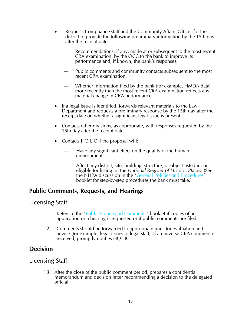- Requests Compliance staff and the Community Affairs Officer for the district to provide the following preliminary information by the 15th day after the receipt date:
	- Recommendations, if any, made at or subsequent to the most recent CRA examination, by the OCC to the bank to improve its performance and, if known, the bank's responses.
	- Public comments and community contacts subsequent to the most recent CRA examination.
	- Whether information filed by the bank (for example, HMDA data) more recently than the most recent CRA examination reflects any material change in CRA performance.
- If a legal issue is identified, forwards relevant materials to the Law Department and requests a preliminary response by the 15th day after the receipt date on whether a significant legal issue is present.
- Contacts other divisions, as appropriate, with responses requested by the 15th day after the receipt date.
- Contacts HQ LIC if the proposal will:
	- Have any significant effect on the quality of the human environment.
	- Affect any district, site, building, structure, or object listed in, or eligible for listing in, the *National Register of Historic Places*. (See the NHPA discussion in the "[General Policies and Procedures"](http://www.occ.gov/publications/publications-by-type/licensing-manuals/gpp.pdf) booklet for step-by-step procedures the bank must take.)

### **Public Comments, Requests, and Hearings**

#### Licensing Staff

- 11. Refers to the "[Public Notice and Comments](http://www.occ.gov/publications/publications-by-type/licensing-manuals/PublicNCbooklet.pdf)" booklet if copies of an application or a hearing is requested or if public comments are filed.
- 12. Comments should be forwarded to appropriate units for evaluation and advice (for example, legal issues to legal staff). If an adverse CRA comment is received, promptly notifies HQ LIC.

### **Decision**

#### Licensing Staff

13. After the close of the public comment period, prepares a confidential memorandum and decision letter recommending a decision to the delegated official.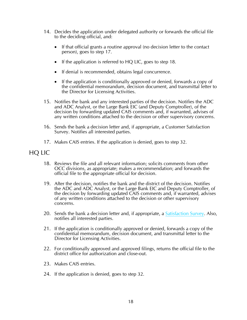- 14. Decides the application under delegated authority or forwards the official file to the deciding official, and:
	- If that official grants a routine approval (no decision letter to the contact person), goes to step 17.
	- If the application is referred to HQ LIC, goes to step 18.
	- If denial is recommended, obtains legal concurrence.
	- If the application is conditionally approved or denied, forwards a copy of the confidential memorandum, decision document, and transmittal letter to the Director for Licensing Activities.
- 15. Notifies the bank and any interested parties of the decision. Notifies the ADC and ADC Analyst, or the Large Bank EIC (and Deputy Comptroller), of the decision by forwarding updated CAIS comments and, if warranted, advises of any written conditions attached to the decision or other supervisory concerns.
- 16. Sends the bank a decision letter and, if appropriate, a Customer Satisfaction Survey. Notifies all interested parties.
- 17. Makes CAIS entries. If the application is denied, goes to step 32.

#### HQ LIC

- 18. Reviews the file and all relevant information; solicits comments from other OCC divisions, as appropriate; makes a recommendation; and forwards the official file to the appropriate official for decision.
- 19. After the decision, notifies the bank and the district of the decision. Notifies the ADC and ADC Analyst, or the Large Bank EIC and Deputy Comptroller, of the decision by forwarding updated CAIS comments and, if warranted, advises of any written conditions attached to the decision or other supervisory concerns.
- 20. Sends the bank a decision letter and, if appropriate, a [Satisfaction Survey.](http://www.occ.treas.gov/static/licensing/form-survey-letter-v2.pdf) Also, notifies all interested parties.
- 21. If the application is conditionally approved or denied, forwards a copy of the confidential memorandum, decision document, and transmittal letter to the Director for Licensing Activities.
- 22. For conditionally approved and approved filings, returns the official file to the district office for authorization and close-out.
- 23. Makes CAIS entries.
- 24. If the application is denied, goes to step 32.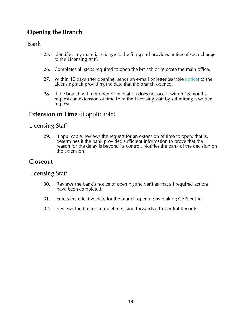# **Opening the Branch**

Bank

- 25. Identifies any material change to the filing and provides notice of such change to the Licensing staff.
- 26. Completes all steps required to open the branch or relocate the main office.
- 27. Within 10 days after opening, sends an e-mail or letter (sample [notice\)](http://www.occ.gov/topics/licensing/sample-filing-forms-and-agency-responses.html) to the Licensing staff providing the date that the branch opened.
- 28. If the branch will not open or relocation does not occur within 18 months, requests an extension of time from the Licensing staff by submitting a written request.

# **Extension of Time** (if applicable)

#### Licensing Staff

29. If applicable, reviews the request for an extension of time to open; that is, determines if the bank provided sufficient information to prove that the reason for the delay is beyond its control. Notifies the bank of the decision on the extension.

# **Closeout**

#### Licensing Staff

- 30. Reviews the bank's notice of opening and verifies that all required actions have been completed.
- 31. Enters the effective date for the branch opening by making CAIS entries.
- 32. Reviews the file for completeness and forwards it to Central Records.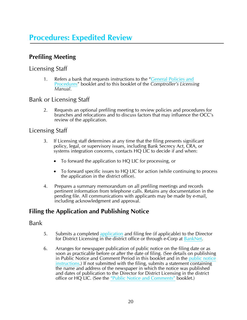# **Procedures: Expedited Review**

# **Prefiling Meeting**

#### Licensing Staff

1. Refers a bank that requests instructions to the "General Policies and [Procedures"](http://www.occ.gov/publications/publications-by-type/licensing-manuals/gpp.pdf) booklet and to this booklet of the *Comptroller's Licensing Manual*.

### Bank or Licensing Staff

2. Requests an optional prefiling meeting to review policies and procedures for branches and relocations and to discuss factors that may influence the OCC's review of the application.

#### Licensing Staff

- 3. If Licensing staff determines at any time that the filing presents significant policy, legal, or supervisory issues, including Bank Secrecy Act, CRA, or systems integration concerns, contacts HQ LIC to decide if and when:
	- To forward the application to HQ LIC for processing, or
	- To forward specific issues to HQ LIC for action (while continuing to process the application in the district office).
- 4. Prepares a summary memorandum on all prefiling meetings and records pertinent information from telephone calls. Retains any documentation in the pending file. All communications with applicants may be made by e-mail, including acknowledgment and approval.

# **Filing the Application and Publishing Notice**

#### Bank

- 5. Submits a completed [application](http://www.occ.gov/static/licensing/form-branch-relo-app-v2.pdf) and filing fee (if applicable) to the Director for District Licensing in the district office or through e-Corp at [BankNet](http://www.banknet.occ/entrance/default.aspx).
- 6. Arranges for newspaper publication of public notice on the filing date or as soon as practicable before or after the date of filing. (See details on publishing in Public Notice and Comment Period in this booklet and in the [public notice](http://www.occ.treas.gov/static/licensing/form-public-notice-v2.pdf)  [instructions.](http://www.occ.treas.gov/static/licensing/form-public-notice-v2.pdf)) If not submitted with the filing, submits a statement containing the name and address of the newspaper in which the notice was published and dates of publication to the Director for District Licensing in the district office or HQ LIC. (See the ["Public Notice and Comments"](http://www.occ.gov/publications/publications-by-type/licensing-manuals/PublicNCbooklet.pdf) booklet.)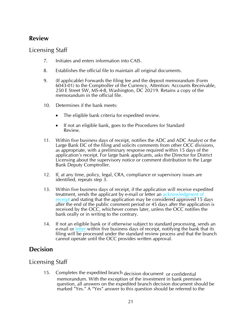# **Review**

# Licensing Staff

- 7. Initiates and enters information into CAIS.
- 8. Establishes the official file to maintain all original documents.
- 9. (If applicable) Forwards the filing fee and the deposit memorandum (Form 6043-01) to the Comptroller of the Currency, Attention: Accounts Receivable, 250 E Street SW, MS-4-8, Washington, DC 20219. Retains a copy of the memorandum in the official file.
- 10. Determines if the bank meets:
	- The eligible bank criteria for expedited review.
	- If not an eligible bank, goes to the Procedures for Standard Review.
- 11. Within five business days of receipt, notifies the ADC and ADC Analyst or the Large Bank EIC of the filing and solicits comments from other OCC divisions, as appropriate, with a preliminary response required within 15 days of the application's receipt. For large bank applicants, asks the Director for District Licensing about the supervisory notice or comment distribution to the Large Bank Deputy Comptroller.
- 12. If, at any time, policy, legal, CRA, compliance or supervisory issues are identified, repeats step 3.
- 13. Within five business days of receipt, if the application will receive expedited treatment, sends the applicant by e-mail or letter an [acknowledgment of](http://www.occ.gov/static/licensing/form-acknowledgement-letter-v2.pdf)  [receipt](http://www.occ.gov/static/licensing/form-acknowledgement-letter-v2.pdf) and stating that the application may be considered approved 15 days after the end of the public comment period or 45 days after the application is received by the OCC, whichever comes later, unless the OCC notifies the bank orally or in writing to the contrary.
- 14. If not an eligible bank or if otherwise subject to standard processing, sends an e-mail o[r letter w](http://www.occ.gov/static/licensing/form-ineligible-for-expedited-review-letter-v2.pdf)ithin five business days of receipt, notifying the bank that its filing will be processed under the standard review process and that the branch cannot operate until the OCC provides written approval.

# **Decision**

### Licensing Staff

15. Completes the expedited branch decision document or confidential memorandum. With the exception of the investment in bank premises question, all answers on the expedited branch decision document should be marked "Yes." A "Yes" answer to this question should be referred to the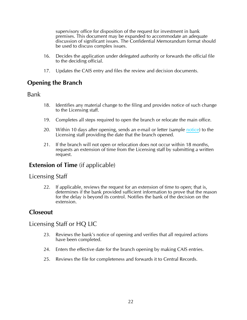supervisory office for disposition of the request for investment in bank premises. This document may be expanded to accommodate an adequate discussion of significant issues. The Confidential Memorandum format should be used to discuss complex issues.

- 16. Decides the application under delegated authority or forwards the official file to the deciding official.
- 17. Updates the CAIS entry and files the review and decision documents.

# **Opening the Branch**

#### Bank

- 18. Identifies any material change to the filing and provides notice of such change to the Licensing staff.
- 19. Completes all steps required to open the branch or relocate the main office.
- 20. Within 10 days after opening, sends an e-mail or letter (sample [notice\)](http://www.occ.gov/static/licensing/form-open-date-branch-office-v2.pdf) to the Licensing staff providing the date that the branch opened.
- 21. If the branch will not open or relocation does not occur within 18 months, requests an extension of time from the Licensing staff by submitting a written request.

### **Extension of Time** (if applicable)

#### Licensing Staff

22. If applicable, reviews the request for an extension of time to open; that is, determines if the bank provided sufficient information to prove that the reason for the delay is beyond its control. Notifies the bank of the decision on the extension.

# **Closeout**

#### Licensing Staff or HQ LIC

- 23. Reviews the bank's notice of opening and verifies that all required actions have been completed.
- 24. Enters the effective date for the branch opening by making CAIS entries.
- 25. Reviews the file for completeness and forwards it to Central Records.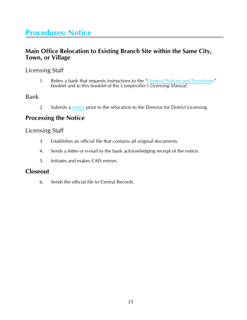# **Procedures: Notice**

## **Main Office Relocation to Existing Branch Site within the Same City, Town, or Village**

### Licensing Staff

1. Refers a bank that requests instructions to the "General Policies [and Procedure](http://www.occ.gov/publications/publications-by-type/licensing-manuals/gpp.pdf)s" booklet and to this booklet of the *Comptroller's Licensing Manual*.

#### Bank

2. Submits a [notice](http://www.occ.gov/publications/publications-by-type/licensing-manuals/index-licensing-manuals.html) prior to the relocation to the Director for District Licensing.

# **Processing the Notice**

#### Licensing Staff

- 3. Establishes an official file that contains all original documents.
- 4. Sends a letter or e-mail to the bank acknowledging receipt of the notice.
- 5. Initiates and makes CAIS entries.

#### **Closeout**

6. Sends the official file to Central Records.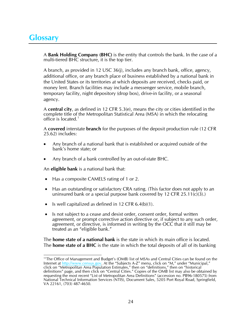# **Glossary**

A **Bank Holding Company (BHC)** is the entity that controls the bank. In the case of a multi-tiered BHC structure, it is the top tier.

A branch, as provided in 12 USC 36(j), includes any branch bank, office, agency, additional office, or any branch place of business established by a national bank in the United States or its territories at which deposits are received, checks paid, or money lent. Branch facilities may include a messenger service, mobile branch, temporary facility, night depository (drop box), drive-in facility, or a seasonal agency.

A **central city**, as defined in 12 CFR 5.3(e), means the city or cities identified in the complete title of the Metropolitan Statistical Area (MSA) in which the relocating office is located.<sup>[1](#page-25-0)</sup>

A **covered** interstate **branch** for the purposes of the deposit production rule (12 CFR 25.62) includes:

- Any branch of a national bank that is established or acquired outside of the bank's home state; or
- Any branch of a bank controlled by an out-of-state BHC.

An **eligible bank** is a national bank that:

- Has a composite CAMELS rating of 1 or 2.
- Has an outstanding or satisfactory CRA rating. (This factor does not apply to an uninsured bank or a special purpose bank covered by 12 CFR  $25.11(c)(3)$ .
- Is well capitalized as defined in 12 CFR  $6.4(b)(1)$ .
- Is not subject to a cease and desist order, consent order, formal written agreement, or prompt corrective action directive or, if subject to any such order, agreement, or directive, is informed in writing by the OCC that it still may be treated as an "eligible bank."

The **home state of a national bank** is the state in which its main office is located. The **home state of a BHC** is the state in which the total deposits of all of its banking

<span id="page-25-0"></span><sup>1</sup> <sup>11</sup>The Office of Management and Budget's (OMB) list of MSAs and Central Cities can be found on the Internet at [http://www.census.gov](http://www.census.gov/). At the "Subjects A-Z" menu, click on "M," under "Municipal," click on "Metropolitan Area Population Estimates," then on "definitions," then on "historical definitions" page, and then click on "Central Cities." Copies of the OMB list may also be obtained by requesting the most recent "List of Metropolitan Area Definitions" (accession no. PB96-180575) from National Technical Information Services (NTIS), Document Sales, 5205 Port Royal Road, Springfield, VA 22161, (703) 487-4650.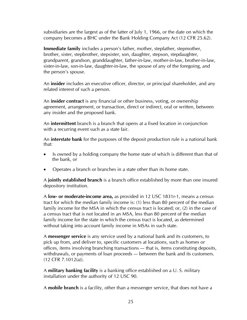subsidiaries are the largest as of the latter of July 1, 1966, or the date on which the company becomes a BHC under the Bank Holding Company Act (12 CFR 25.62).

**Immediate family** includes a person's father, mother, stepfather, stepmother, brother, sister, stepbrother, stepsister, son, daughter, stepson, stepdaughter, grandparent, grandson, granddaughter, father-in-law, mother-in-law, brother-in-law, sister-in-law, son-in-law, daughter-in-law, the spouse of any of the foregoing, and the person's spouse.

An **insider** includes an executive officer, director, or principal shareholder, and any related interest of such a person.

An **insider contract** is any financial or other business, voting, or ownership agreement, arrangement, or transaction, direct or indirect, oral or written, between any insider and the proposed bank.

An **intermittent** branch is a branch that opens at a fixed location in conjunction with a recurring event such as a state fair.

An **interstate bank** for the purposes of the deposit production rule is a national bank that:

- Is owned by a holding company the home state of which is different than that of the bank, or
- Operates a branch or branches in a state other than its home state.

A **jointly established branch** is a branch office established by more than one insured depository institution.

A **low- or moderate-income area,** as provided in 12 USC 1831r-1, means a census tract for which the median family income is: (1) less than 80 percent of the median family income for the MSA in which the census tract is located; or, (2) in the case of a census tract that is not located in an MSA, less than 80 percent of the median family income for the state in which the census tract is located, as determined without taking into account family income in MSAs in such state.

A **messenger service** is any service used by a national bank and its customers, to pick up from, and deliver to, specific customers at locations, such as homes or offices, items involving branching transactions — that is, items constituting deposits, withdrawals, or payments of loan proceeds — between the bank and its customers. (12 CFR 7.1012(a)).

A **military banking facility** is a banking office established on a U. S. military installation under the authority of 12 USC 90.

A **mobile branch** is a facility, other than a messenger service, that does not have a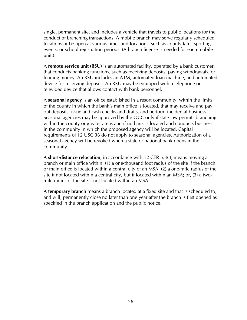single, permanent site, and includes a vehicle that travels to public locations for the conduct of branching transactions. A mobile branch may serve regularly scheduled locations or be open at various times and locations, such as county fairs, sporting events, or school registration periods. (A branch license is needed for each mobile unit.)

A **remote service unit (RSU)** is an automated facility, operated by a bank customer, that conducts banking functions, such as receiving deposits, paying withdrawals, or lending money. An RSU includes an ATM, automated loan machine, and automated device for receiving deposits. An RSU may be equipped with a telephone or televideo device that allows contact with bank personnel.

A **seasonal agency** is an office established in a resort community, within the limits of the county in which the bank's main office is located, that may receive and pay out deposits, issue and cash checks and drafts, and perform incidental business. Seasonal agencies may be approved by the OCC only if state law permits branching within the county or greater areas and if no bank is located and conducts business in the community in which the proposed agency will be located. Capital requirements of 12 USC 36 do not apply to seasonal agencies. Authorization of a seasonal agency will be revoked when a state or national bank opens in the community.

A **short-distance relocation**, in accordance with 12 CFR 5.3(I), means moving a branch or main office within: (1) a one-thousand foot radius of the site if the branch or main office is located within a central city of an MSA; (2) a one-mile radius of the site if not located within a central city, but if located within an MSA; or, (3) a twomile radius of the site if not located within an MSA.

A **temporary branch** means a branch located at a fixed site and that is scheduled to, and will, permanently close no later than one year after the branch is first opened as specified in the branch application and the public notice.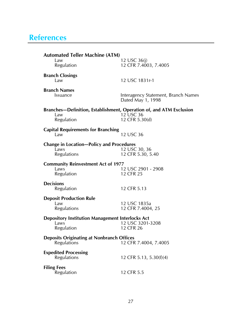# **References**

| <b>Automated Teller Machine (ATM)</b>                                                    |                                                          |
|------------------------------------------------------------------------------------------|----------------------------------------------------------|
| Law<br>Regulation                                                                        | 12 USC 36(j)<br>12 CFR 7.4003, 7.4005                    |
| <b>Branch Closings</b><br>Law                                                            | 12 USC 1831r-1                                           |
| <b>Branch Names</b><br>Issuance                                                          | Interagency Statement, Branch Names<br>Dated May 1, 1998 |
| Branches-Definition, Establishment, Operation of, and ATM Exclusion<br>Law<br>Regulation | 12 USC 36<br>12 CFR 5.30(d)                              |
| <b>Capital Requirements for Branching</b><br>Law                                         | 12 USC 36                                                |
| <b>Change in Location-Policy and Procedures</b><br>Laws<br>Regulations                   | 12 USC 30, 36<br>12 CFR 5.30, 5.40                       |
| <b>Community Reinvestment Act of 1977</b><br>Laws<br>Regulation                          | 12 USC 2901 - 2908<br>12 CFR 25                          |
| <b>Decisions</b><br>Regulation                                                           | 12 CFR 5.13                                              |
| <b>Deposit Production Rule</b><br>Law<br>Regulations                                     | 12 USC 1835a<br>12 CFR 7.4004, 25                        |
| <b>Depository Institution Management Interlocks Act</b><br>Laws<br>Regulation            | 12 USC 3201-3208<br>12 CFR 26                            |
| <b>Deposits Originating at Nonbranch Offices</b><br><b>Regulations</b>                   | 12 CFR 7.4004, 7.4005                                    |
| <b>Expedited Processing</b><br>Regulations                                               | 12 CFR 5.13, 5.30(f)(4)                                  |
| <b>Filing Fees</b><br>Regulation                                                         | 12 CFR 5.5                                               |